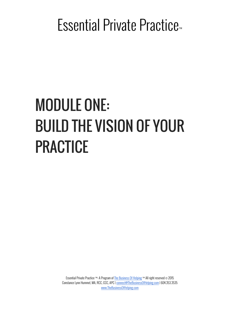# MODULE ONE: BUILD THE VISION OF YOUR PRACTICE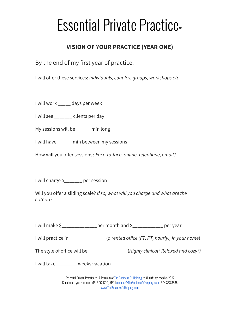### **VISION OF YOUR PRACTICE (YEAR ONE)**

By the end of my first year of practice:

I will offer these services: *Individuals, couples, groups, workshops etc*

I will work \_\_\_\_\_ days per week

I will see \_\_\_\_\_\_\_ clients per day

My sessions will be \_\_\_\_\_\_min long

I will have \_\_\_\_\_\_min between my sessions

How will you offer sessions? *Face-to-face, online, telephone, email?*

I will charge \$\_\_\_\_\_\_\_ per session

Will you offer a sliding scale? *If so, what will you charge and what are the criteria?*

| I will make \$_ | _per month and \$_ | ____________ per year |
|-----------------|--------------------|-----------------------|
|-----------------|--------------------|-----------------------|

I will practice in \_\_\_\_\_\_\_\_\_\_\_\_\_\_ (*a rented office (FT, PT, hourly), in your home*)

The style of office will be \_\_\_\_\_\_\_\_\_\_\_\_\_\_\_ (*Highly clinical? Relaxed and cozy?)*

I will take \_\_\_\_\_\_\_\_ weeks vacation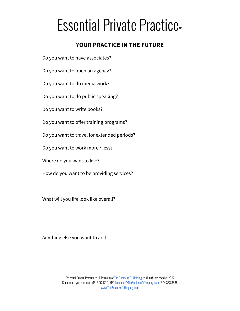### **YOUR PRACTICE IN THE FUTURE**

Do you want to have associates?

Do you want to open an agency?

Do you want to do media work?

Do you want to do public speaking?

Do you want to write books?

Do you want to offer training programs?

Do you want to travel for extended periods?

Do you want to work more / less?

Where do you want to live?

How do you want to be providing services?

What will you life look like overall?

Anything else you want to add……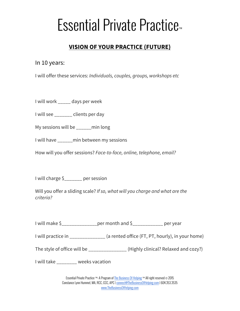### **VISION OF YOUR PRACTICE (FUTURE)**

In 10 years:

I will offer these services: *Individuals, couples, groups, workshops etc*

I will work \_\_\_\_\_ days per week

I will see \_\_\_\_\_\_\_ clients per day

My sessions will be \_\_\_\_\_\_min long

I will have \_\_\_\_\_\_min between my sessions

How will you offer sessions? *Face-to-face, online, telephone, email?*

I will charge \$\_\_\_\_\_\_\_ per session

Will you offer a sliding scale? *If so, what will you charge and what are the criteria?*

I will make \$\_\_\_\_\_\_\_\_\_\_\_\_\_\_per month and \$\_\_\_\_\_\_\_\_\_\_\_\_ per year

I will practice in \_\_\_\_\_\_\_\_\_\_\_\_\_\_ (a rented office (FT, PT, hourly), in your home)

The style of office will be \_\_\_\_\_\_\_\_\_\_\_\_\_\_\_ (Highly clinical? Relaxed and cozy?)

I will take \_\_\_\_\_\_\_\_ weeks vacation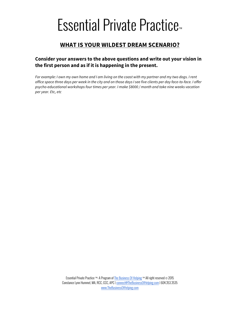### **WHAT IS YOUR WILDEST DREAM SCENARIO?**

#### **Consider your answers to the above questions and write out your vision in the first person and as if it is happening in the present.**

*For example: I own my own home and I am living on the coast with my partner and my two dogs. I rent office space three days per week in the city and on those days I see five clients per day face-to-face. I offer psycho-educational workshops four times per year. I make \$8000 / month and take nine weeks vacation per year. Etc, etc*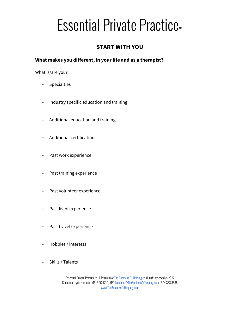### **START WITH YOU**

#### **What makes you different, in your life and as a therapist?**

What is/are your:

- Specialties
- Industry specific education and training
- Additional education and training
- Additional certifications
- Past work experience
- Past training experience
- Past volunteer experience
- Past lived experience
- Past travel experience
- Hobbies / interests
- Skills / Talents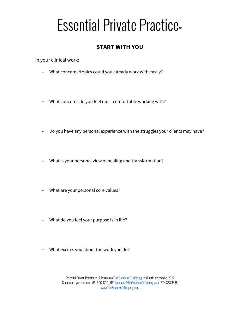### **START WITH YOU**

In your clinical work:

- What concerns/topics could you already work with easily?
- What concerns do you feel most comfortable working with?
- Do you have any personal experience with the struggles your clients may have?
- What is your personal view of healing and transformation?
- What are your personal core values?
- What do you feel your purpose is in life?
- What excites you about the work you do?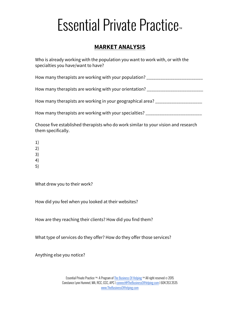### **MARKET ANALYSIS**

Who is already working with the population you want to work with, or with the specialties you have/want to have?

How many therapists are working with your population? \_\_\_\_\_\_\_\_\_\_\_\_\_\_\_\_\_\_\_\_\_\_\_\_\_\_

How many therapists are working with your orientation? \_\_\_\_\_\_\_\_\_\_\_\_\_\_\_\_\_\_\_\_\_\_\_\_\_

How many therapists are working in your geographical area? \_\_\_\_\_\_\_\_\_\_\_\_\_\_\_\_\_\_\_\_\_

How many therapists are working with your specialties? \_\_\_\_\_\_\_\_\_\_\_\_\_\_\_\_\_\_\_\_\_\_\_\_\_

Choose five established therapists who do work similar to your vision and research them specifically.

- 1)
- 2)
- 3)
- 4)
- 5)

What drew you to their work?

How did you feel when you looked at their websites?

How are they reaching their clients? How did you find them?

What type of services do they offer? How do they offer those services?

Anything else you notice?